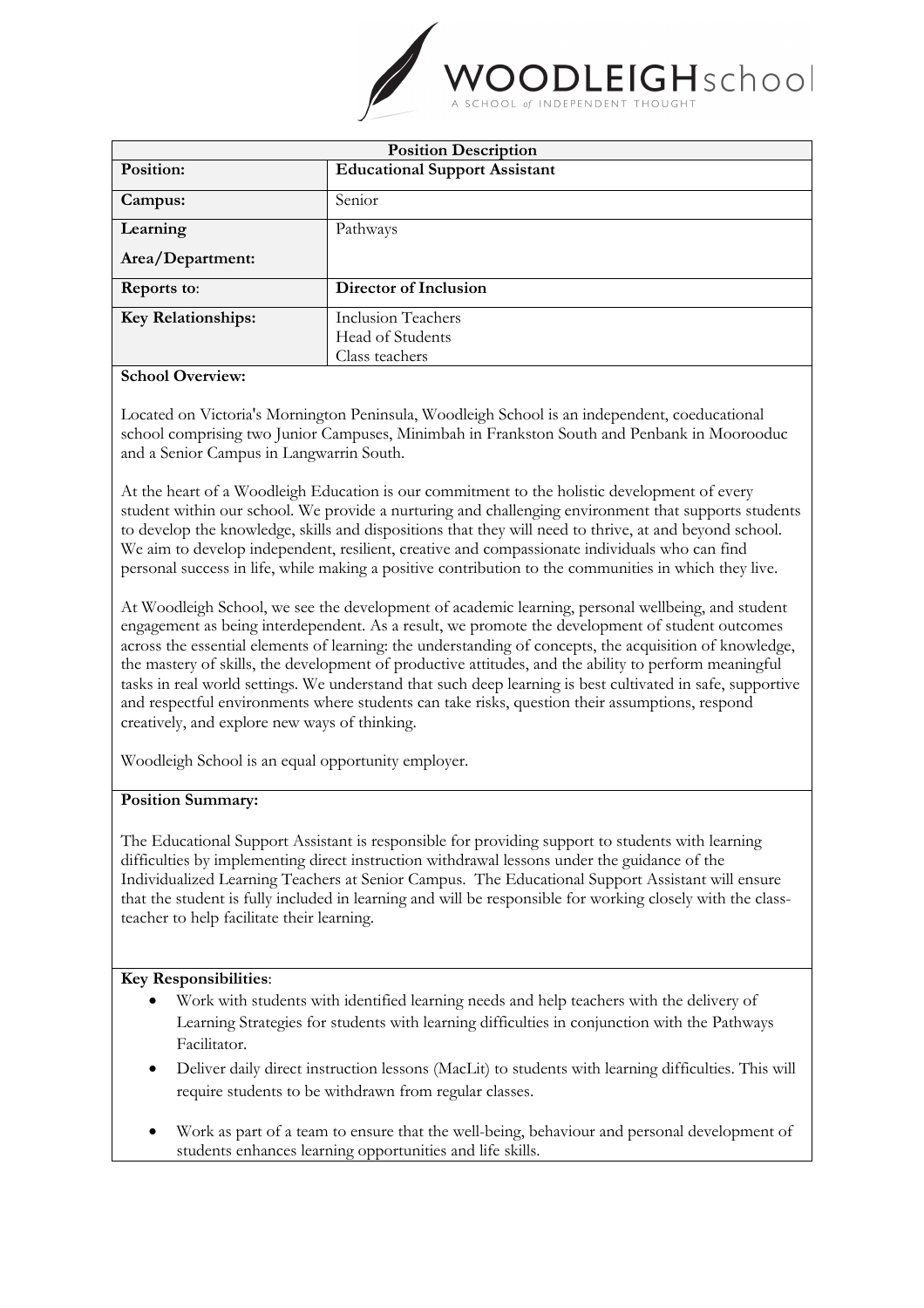

| <b>Position Description</b> |                                      |
|-----------------------------|--------------------------------------|
| Position:                   | <b>Educational Support Assistant</b> |
| Campus:                     | Senior                               |
| Learning                    | Pathways                             |
| Area/Department:            |                                      |
| <b>Reports to:</b>          | Director of Inclusion                |
| <b>Key Relationships:</b>   | <b>Inclusion Teachers</b>            |
|                             | Head of Students                     |
|                             | Class teachers                       |

### **School Overview:**

Located on Victoria's Mornington Peninsula, Woodleigh School is an independent, coeducational school comprising two Junior Campuses, Minimbah in Frankston South and Penbank in Moorooduc and a Senior Campus in Langwarrin South.

At the heart of a Woodleigh Education is our commitment to the holistic development of every student within our school. We provide a nurturing and challenging environment that supports students to develop the knowledge, skills and dispositions that they will need to thrive, at and beyond school. We aim to develop independent, resilient, creative and compassionate individuals who can find personal success in life, while making a positive contribution to the communities in which they live.

At Woodleigh School, we see the development of academic learning, personal wellbeing, and student engagement as being interdependent. As a result, we promote the development of student outcomes across the essential elements of learning: the understanding of concepts, the acquisition of knowledge, the mastery of skills, the development of productive attitudes, and the ability to perform meaningful tasks in real world settings. We understand that such deep learning is best cultivated in safe, supportive and respectful environments where students can take risks, question their assumptions, respond creatively, and explore new ways of thinking.

Woodleigh School is an equal opportunity employer.

### **Position Summary:**

The Educational Support Assistant is responsible for providing support to students with learning difficulties by implementing direct instruction withdrawal lessons under the guidance of the Individualized Learning Teachers at Senior Campus. The Educational Support Assistant will ensure that the student is fully included in learning and will be responsible for working closely with the classteacher to help facilitate their learning.

### **Key Responsibilities**:

- Work with students with identified learning needs and help teachers with the delivery of Learning Strategies for students with learning difficulties in conjunction with the Pathways Facilitator.
- Deliver daily direct instruction lessons (MacLit) to students with learning difficulties. This will require students to be withdrawn from regular classes.
- Work as part of a team to ensure that the well-being, behaviour and personal development of students enhances learning opportunities and life skills.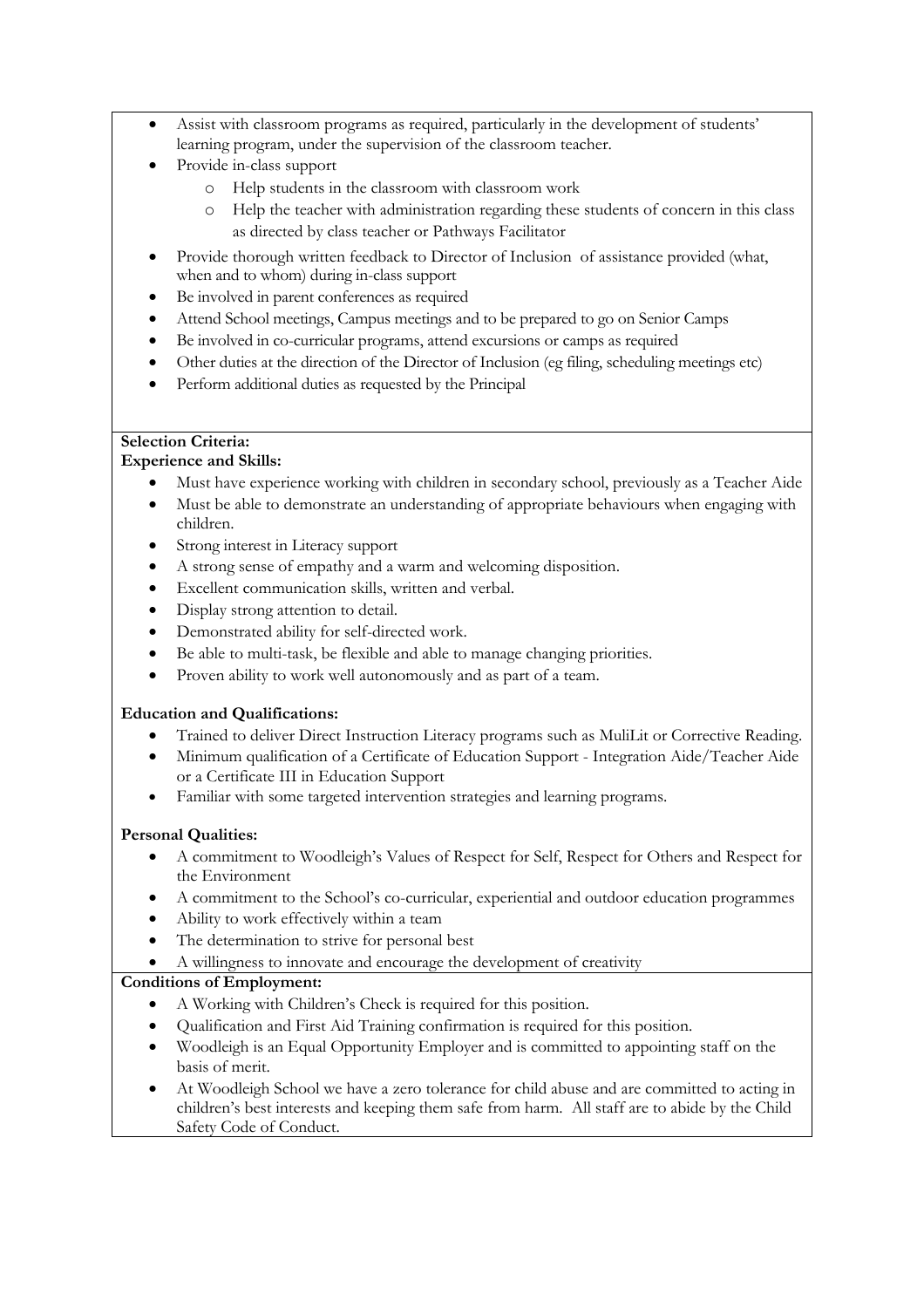- Assist with classroom programs as required, particularly in the development of students' learning program, under the supervision of the classroom teacher.
- Provide in-class support
	- o Help students in the classroom with classroom work
	- o Help the teacher with administration regarding these students of concern in this class as directed by class teacher or Pathways Facilitator
- Provide thorough written feedback to Director of Inclusion of assistance provided (what, when and to whom) during in-class support
- Be involved in parent conferences as required
- Attend School meetings, Campus meetings and to be prepared to go on Senior Camps
- Be involved in co-curricular programs, attend excursions or camps as required
- Other duties at the direction of the Director of Inclusion (eg filing, scheduling meetings etc)
- Perform additional duties as requested by the Principal

# **Selection Criteria:**

## **Experience and Skills:**

- Must have experience working with children in secondary school, previously as a Teacher Aide
- Must be able to demonstrate an understanding of appropriate behaviours when engaging with children.
- Strong interest in Literacy support
- A strong sense of empathy and a warm and welcoming disposition.
- Excellent communication skills, written and verbal.
- Display strong attention to detail.
- Demonstrated ability for self-directed work.
- Be able to multi-task, be flexible and able to manage changing priorities.
- Proven ability to work well autonomously and as part of a team.

## **Education and Qualifications:**

- Trained to deliver Direct Instruction Literacy programs such as MuliLit or Corrective Reading.
- Minimum qualification of a Certificate of Education Support Integration Aide/Teacher Aide or a Certificate III in Education Support
- Familiar with some targeted intervention strategies and learning programs.

# **Personal Qualities:**

- A commitment to Woodleigh's Values of Respect for Self, Respect for Others and Respect for the Environment
- A commitment to the School's co-curricular, experiential and outdoor education programmes
- Ability to work effectively within a team
- The determination to strive for personal best
- A willingness to innovate and encourage the development of creativity

# **Conditions of Employment:**

- A Working with Children's Check is required for this position.
- Qualification and First Aid Training confirmation is required for this position.
- Woodleigh is an Equal Opportunity Employer and is committed to appointing staff on the basis of merit.
- At Woodleigh School we have a zero tolerance for child abuse and are committed to acting in children's best interests and keeping them safe from harm. All staff are to abide by the Child Safety Code of Conduct.